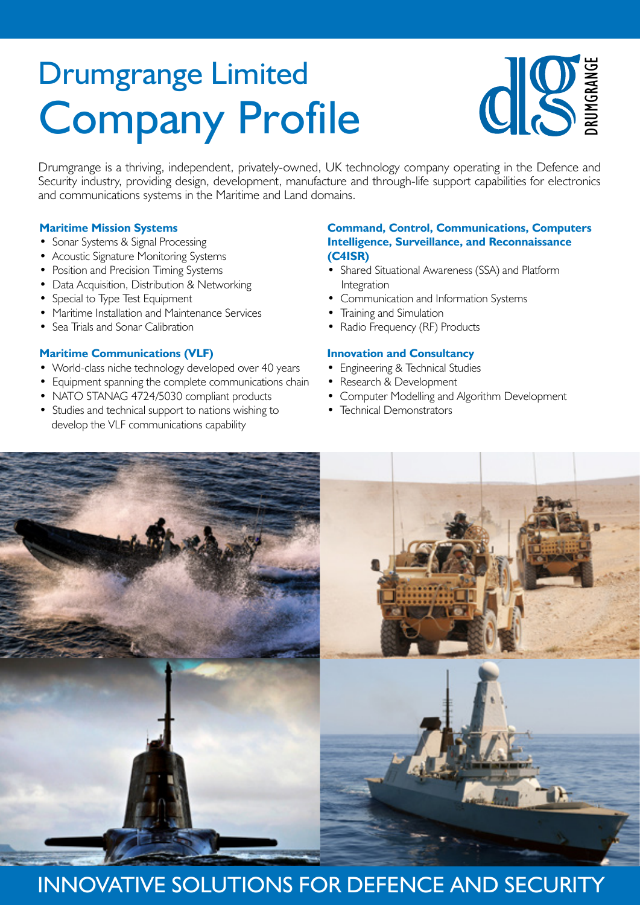# Company Profile Drumgrange Limited



Drumgrange is a thriving, independent, privately-owned, UK technology company operating in the Defence and Security industry, providing design, development, manufacture and through-life support capabilities for electronics and communications systems in the Maritime and Land domains.

#### **Maritime Mission Systems**

- Sonar Systems & Signal Processing
- Acoustic Signature Monitoring Systems
- Position and Precision Timing Systems
- Data Acquisition, Distribution & Networking
- Special to Type Test Equipment
- Maritime Installation and Maintenance Services
- Sea Trials and Sonar Calibration

#### **Maritime Communications (VLF)**

- World-class niche technology developed over 40 years
- Equipment spanning the complete communications chain
- NATO STANAG 4724/5030 compliant products
- Studies and technical support to nations wishing to develop the VLF communications capability

#### **Command, Control, Communications, Computers Intelligence, Surveillance, and Reconnaissance (C4ISR)**

- Shared Situational Awareness (SSA) and Platform Integration
- Communication and Information Systems
- Training and Simulation
- Radio Frequency (RF) Products

#### **Innovation and Consultancy**

- Engineering & Technical Studies
- Research & Development
- Computer Modelling and Algorithm Development
- Technical Demonstrators



### INNOVATIVE SOLUTIONS FOR DEFENCE AND SECURITY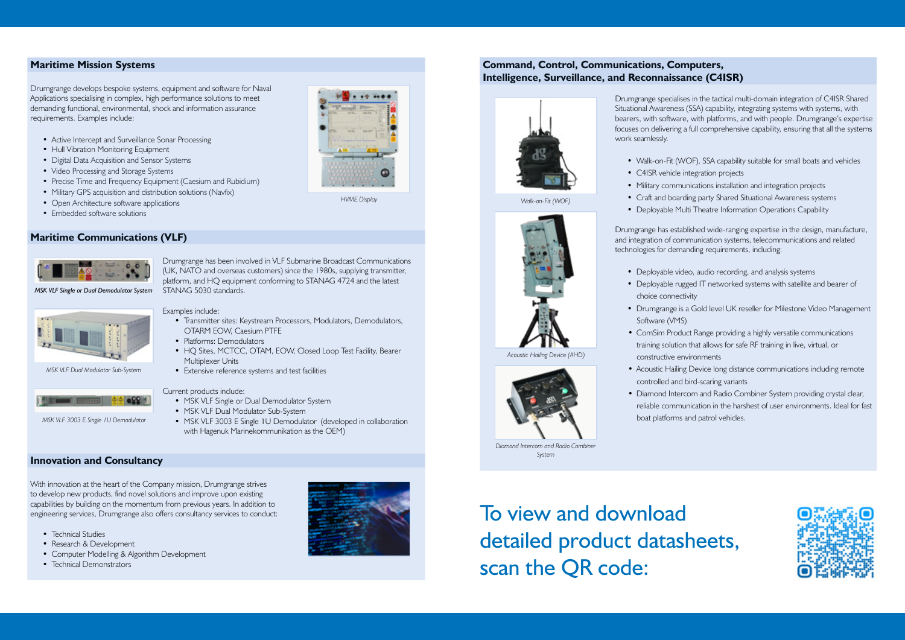#### **Maritime Mission Systems**

- Active Intercept and Surveillance Sonar Processing
- Hull Vibration Monitoring Equipment
- Digital Data Acquisition and Sensor Systems
- Video Processing and Storage Systems
- Precise Time and Frequency Equipment (Caesium and Rubidium)
- Military GPS acquisition and distribution solutions (Navfix)
- Open Architecture software applications
- Embedded software solutions

Drumgrange develops bespoke systems, equipment and software for Naval Applications specialising in complex, high performance solutions to meet demanding functional, environmental, shock and information assurance requirements. Examples include:

#### **Maritime Communications (VLF)**



- MSK VLF Single or Dual Demodulator System
- MSK VLF Dual Modulator Sub-System
- MSK VLF 3003 E Single 1U Demodulator (developed in collaboration with Hagenuk Marinekommunikation as the OEM)

Drumgrange has been involved in VLF Submarine Broadcast Communications (UK, NATO and overseas customers) since the 1980s, supplying transmitter, platform, and HQ equipment conforming to STANAG 4724 and the latest STANAG 5030 standards.

#### Examples include:

- Transmitter sites: Keystream Processors, Modulators, Demodulators, OTARM EOW, Caesium PTFE
- Platforms: Demodulators
- HQ Sites, MCTCC, OTAM, EOW, Closed Loop Test Facility, Bearer Multiplexer Units
- Extensive reference systems and test facilities

#### Current products include:

#### **Innovation and Consultancy**

With innovation at the heart of the Company mission, Drumgrange strives to develop new products, find novel solutions and improve upon existing capabilities by building on the momentum from previous years. In addition to engineering services, Drumgrange also offers consultancy services to conduct:

- Technical Studies
- Research & Development
- Computer Modelling & Algorithm Development
- Technical Demonstrators



- Walk-on-Fit (WOF), SSA capability suitable for small boats and vehicles • C4ISR vehicle integration projects
- 
- 
- *Walk-on-Fit (WOF)*



To view and download detailed product datasheets, scan the QR code:



*HVME Display*

*MSK VLF Single or Dual Demodulator System*

*MSK VLF Dual Modulator Sub-System*

*MSK VLF 3003 E Single 1U Demodulator*

### **Command, Control, Communications, Computers, Intelligence, Surveillance, and Reconnaissance (C4ISR)**



Drumgrange specialises in the tactical multi-domain integration of C4ISR Shared Situational Awareness (SSA) capability, integrating systems with systems, with bearers, with software, with platforms, and with people. Drumgrange's expertise focuses on delivering a full comprehensive capability, ensuring that all the systems work seamlessly.

- Military communications installation and integration projects
- Craft and boarding party Shared Situational Awareness systems
- Deployable Multi Theatre Information Operations Capability
- Drumgrange has established wide-ranging expertise in the design, manufacture, and integration of communication systems, telecommunications and related technologies for demanding requirements, including:
	- Deployable rugged IT networked systems with satellite and bearer of
	- Drumgrange is a Gold level UK reseller for Milestone Video Management
	- ComSim Product Range providing a highly versatile communications training solution that allows for safe RF training in live, virtual, or
		-
	- reliable communication in the harshest of user environments. Ideal for fast boat platforms and patrol vehicles.





- Deployable video, audio recording, and analysis systems
- choice connectivity
- Software (VMS)
- constructive environments
- Acoustic Hailing Device long distance communications including remote controlled and bird-scaring variants • Diamond Intercom and Radio Combiner System providing crystal clear,
- 

*Acoustic Hailing Device (AHD)*

*Diamond Intercom and Radio Combiner System*